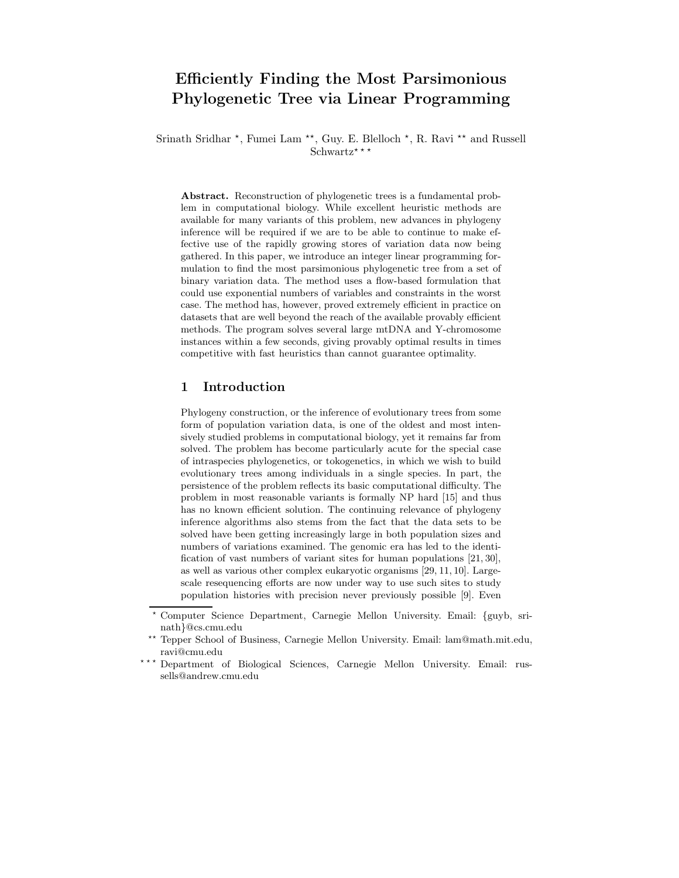# Efficiently Finding the Most Parsimonious Phylogenetic Tree via Linear Programming

Srinath Sridhar \*, Fumei Lam \*\*, Guy. E. Blelloch \*, R. Ravi \*\* and Russell  $Schwartz^{\star \star \star}$ 

Abstract. Reconstruction of phylogenetic trees is a fundamental problem in computational biology. While excellent heuristic methods are available for many variants of this problem, new advances in phylogeny inference will be required if we are to be able to continue to make effective use of the rapidly growing stores of variation data now being gathered. In this paper, we introduce an integer linear programming formulation to find the most parsimonious phylogenetic tree from a set of binary variation data. The method uses a flow-based formulation that could use exponential numbers of variables and constraints in the worst case. The method has, however, proved extremely efficient in practice on datasets that are well beyond the reach of the available provably efficient methods. The program solves several large mtDNA and Y-chromosome instances within a few seconds, giving provably optimal results in times competitive with fast heuristics than cannot guarantee optimality.

# 1 Introduction

Phylogeny construction, or the inference of evolutionary trees from some form of population variation data, is one of the oldest and most intensively studied problems in computational biology, yet it remains far from solved. The problem has become particularly acute for the special case of intraspecies phylogenetics, or tokogenetics, in which we wish to build evolutionary trees among individuals in a single species. In part, the persistence of the problem reflects its basic computational difficulty. The problem in most reasonable variants is formally NP hard [15] and thus has no known efficient solution. The continuing relevance of phylogeny inference algorithms also stems from the fact that the data sets to be solved have been getting increasingly large in both population sizes and numbers of variations examined. The genomic era has led to the identification of vast numbers of variant sites for human populations [21, 30], as well as various other complex eukaryotic organisms [29, 11, 10]. Largescale resequencing efforts are now under way to use such sites to study population histories with precision never previously possible [9]. Even

<sup>?</sup> Computer Science Department, Carnegie Mellon University. Email: {guyb, srinath}@cs.cmu.edu

<sup>\*\*</sup> Tepper School of Business, Carnegie Mellon University. Email: lam@math.mit.edu, ravi@cmu.edu

<sup>\*\*\*</sup> Department of Biological Sciences, Carnegie Mellon University. Email: russells@andrew.cmu.edu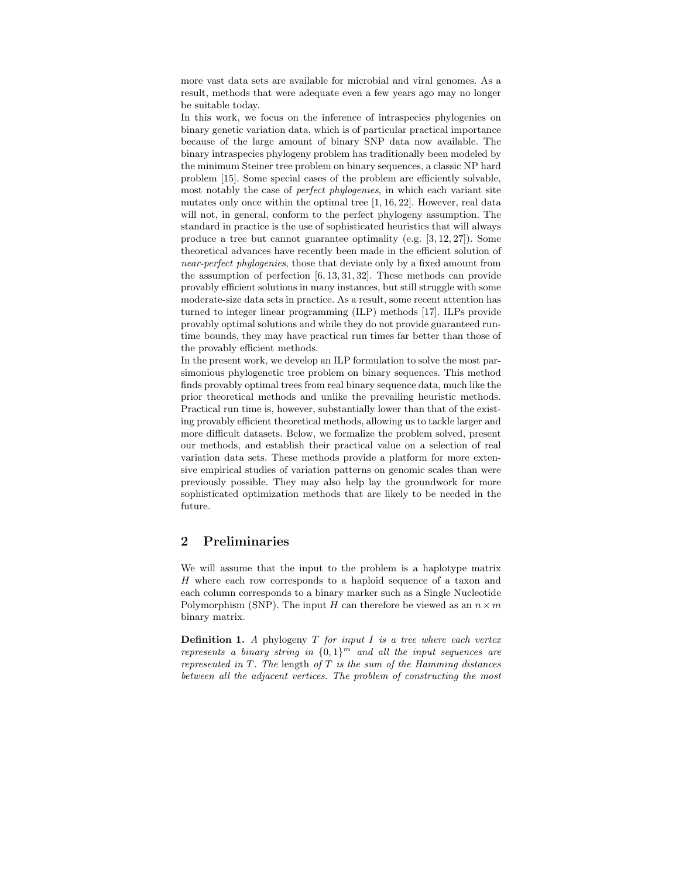more vast data sets are available for microbial and viral genomes. As a result, methods that were adequate even a few years ago may no longer be suitable today.

In this work, we focus on the inference of intraspecies phylogenies on binary genetic variation data, which is of particular practical importance because of the large amount of binary SNP data now available. The binary intraspecies phylogeny problem has traditionally been modeled by the minimum Steiner tree problem on binary sequences, a classic NP hard problem [15]. Some special cases of the problem are efficiently solvable, most notably the case of perfect phylogenies, in which each variant site mutates only once within the optimal tree [1, 16, 22]. However, real data will not, in general, conform to the perfect phylogeny assumption. The standard in practice is the use of sophisticated heuristics that will always produce a tree but cannot guarantee optimality (e.g. [3, 12, 27]). Some theoretical advances have recently been made in the efficient solution of near-perfect phylogenies, those that deviate only by a fixed amount from the assumption of perfection [6, 13, 31, 32]. These methods can provide provably efficient solutions in many instances, but still struggle with some moderate-size data sets in practice. As a result, some recent attention has turned to integer linear programming (ILP) methods [17]. ILPs provide provably optimal solutions and while they do not provide guaranteed runtime bounds, they may have practical run times far better than those of the provably efficient methods.

In the present work, we develop an ILP formulation to solve the most parsimonious phylogenetic tree problem on binary sequences. This method finds provably optimal trees from real binary sequence data, much like the prior theoretical methods and unlike the prevailing heuristic methods. Practical run time is, however, substantially lower than that of the existing provably efficient theoretical methods, allowing us to tackle larger and more difficult datasets. Below, we formalize the problem solved, present our methods, and establish their practical value on a selection of real variation data sets. These methods provide a platform for more extensive empirical studies of variation patterns on genomic scales than were previously possible. They may also help lay the groundwork for more sophisticated optimization methods that are likely to be needed in the future.

### 2 Preliminaries

We will assume that the input to the problem is a haplotype matrix H where each row corresponds to a haploid sequence of a taxon and each column corresponds to a binary marker such as a Single Nucleotide Polymorphism (SNP). The input H can therefore be viewed as an  $n \times m$ binary matrix.

**Definition 1.** A phylogeny  $T$  for input  $I$  is a tree where each vertex represents a binary string in  ${0,1}^m$  and all the input sequences are represented in  $T$ . The length of  $T$  is the sum of the Hamming distances between all the adjacent vertices. The problem of constructing the most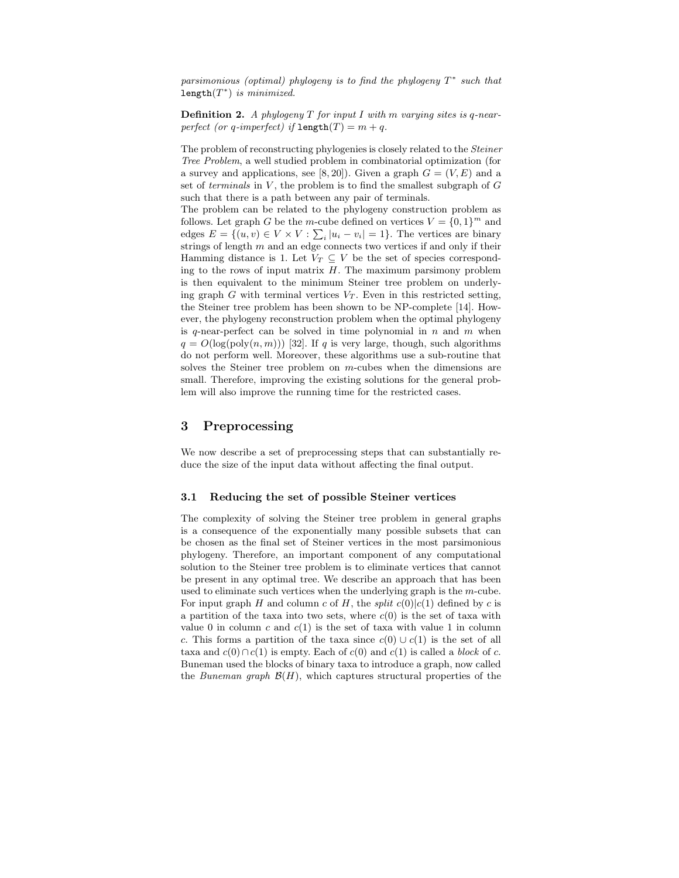parsimonious (optimal) phylogeny is to find the phylogeny  $T^*$  such that  $\texttt{length}(T^*)$  is minimized.

**Definition 2.** A phylogeny  $T$  for input  $I$  with  $m$  varying sites is q-nearperfect (or q-imperfect) if  $\texttt{length}(T) = m + q$ .

The problem of reconstructing phylogenies is closely related to the Steiner Tree Problem, a well studied problem in combinatorial optimization (for a survey and applications, see [8, 20]). Given a graph  $G = (V, E)$  and a set of *terminals* in  $V$ , the problem is to find the smallest subgraph of  $G$ such that there is a path between any pair of terminals.

The problem can be related to the phylogeny construction problem as follows. Let graph G be the m-cube defined on vertices  $V = \{0, 1\}^m$  and edges  $E = \{(u, v) \in V \times V : \sum_{i} |u_i - v_i| = 1\}$ . The vertices are binary strings of length  $m$  and an edge connects two vertices if and only if their Hamming distance is 1. Let  $V_T \subseteq V$  be the set of species corresponding to the rows of input matrix  $H$ . The maximum parsimony problem is then equivalent to the minimum Steiner tree problem on underlying graph G with terminal vertices  $V_T$ . Even in this restricted setting, the Steiner tree problem has been shown to be NP-complete [14]. However, the phylogeny reconstruction problem when the optimal phylogeny is q-near-perfect can be solved in time polynomial in  $n$  and  $m$  when  $q = O(\log(\text{poly}(n, m)))$  [32]. If q is very large, though, such algorithms do not perform well. Moreover, these algorithms use a sub-routine that solves the Steiner tree problem on m-cubes when the dimensions are small. Therefore, improving the existing solutions for the general problem will also improve the running time for the restricted cases.

### 3 Preprocessing

We now describe a set of preprocessing steps that can substantially reduce the size of the input data without affecting the final output.

#### 3.1 Reducing the set of possible Steiner vertices

The complexity of solving the Steiner tree problem in general graphs is a consequence of the exponentially many possible subsets that can be chosen as the final set of Steiner vertices in the most parsimonious phylogeny. Therefore, an important component of any computational solution to the Steiner tree problem is to eliminate vertices that cannot be present in any optimal tree. We describe an approach that has been used to eliminate such vertices when the underlying graph is the  $m$ -cube. For input graph H and column c of H, the split  $c(0)|c(1)$  defined by c is a partition of the taxa into two sets, where  $c(0)$  is the set of taxa with value 0 in column c and  $c(1)$  is the set of taxa with value 1 in column c. This forms a partition of the taxa since  $c(0) \cup c(1)$  is the set of all taxa and  $c(0) \cap c(1)$  is empty. Each of  $c(0)$  and  $c(1)$  is called a *block* of c. Buneman used the blocks of binary taxa to introduce a graph, now called the Buneman graph  $\mathcal{B}(H)$ , which captures structural properties of the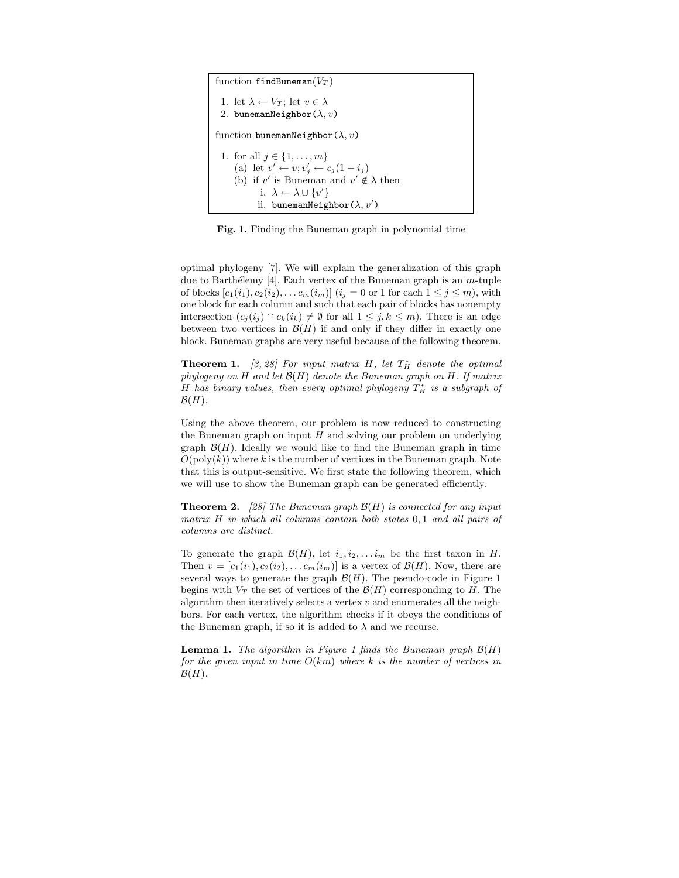function findBuneman $(V_T)$ 1. let  $\lambda \leftarrow V_T$ ; let  $v \in \lambda$ 2. bunemanNeighbor $(\lambda, v)$ function bunemanNeighbor( $\lambda$ , v) 1. for all  $j \in \{1, ..., m\}$ (a) let  $v' \leftarrow v; v'_j \leftarrow c_j(1-i_j)$ (b) if v' is Buneman and  $v' \notin \lambda$  then i.  $\lambda \leftarrow \lambda \cup \{v'\}$ ii. bunemanNeighbor $(\lambda, v')$ 

Fig. 1. Finding the Buneman graph in polynomial time

optimal phylogeny [7]. We will explain the generalization of this graph due to Barthélemy [4]. Each vertex of the Buneman graph is an  $m$ -tuple of blocks  $[c_1(i_1), c_2(i_2), \ldots c_m(i_m)]$   $(i_j = 0 \text{ or } 1 \text{ for each } 1 \leq j \leq m)$ , with one block for each column and such that each pair of blocks has nonempty intersection  $(c_j(i_j) \cap c_k(i_k) \neq \emptyset$  for all  $1 \leq j, k \leq m$ ). There is an edge between two vertices in  $\mathcal{B}(H)$  if and only if they differ in exactly one block. Buneman graphs are very useful because of the following theorem.

**Theorem 1.** [3, 28] For input matrix H, let  $T_H^*$  denote the optimal phylogeny on  $H$  and let  $\mathcal{B}(H)$  denote the Buneman graph on  $H$ . If matrix H has binary values, then every optimal phylogeny  $T_H^*$  is a subgraph of  $\mathcal{B}(H)$ .

Using the above theorem, our problem is now reduced to constructing the Buneman graph on input  $H$  and solving our problem on underlying graph  $\mathcal{B}(H)$ . Ideally we would like to find the Buneman graph in time  $O(poly(k))$  where k is the number of vertices in the Buneman graph. Note that this is output-sensitive. We first state the following theorem, which we will use to show the Buneman graph can be generated efficiently.

**Theorem 2.** [28] The Buneman graph  $\mathcal{B}(H)$  is connected for any input matrix H in which all columns contain both states 0, 1 and all pairs of columns are distinct.

To generate the graph  $\mathcal{B}(H)$ , let  $i_1, i_2, \ldots i_m$  be the first taxon in H. Then  $v = [c_1(i_1), c_2(i_2), \ldots c_m(i_m)]$  is a vertex of  $\mathcal{B}(H)$ . Now, there are several ways to generate the graph  $\mathcal{B}(H)$ . The pseudo-code in Figure 1 begins with  $V_T$  the set of vertices of the  $\mathcal{B}(H)$  corresponding to H. The algorithm then iteratively selects a vertex  $v$  and enumerates all the neighbors. For each vertex, the algorithm checks if it obeys the conditions of the Buneman graph, if so it is added to  $\lambda$  and we recurse.

**Lemma 1.** The algorithm in Figure 1 finds the Buneman graph  $\mathcal{B}(H)$ for the given input in time  $O(km)$  where k is the number of vertices in  $\mathcal{B}(H)$ .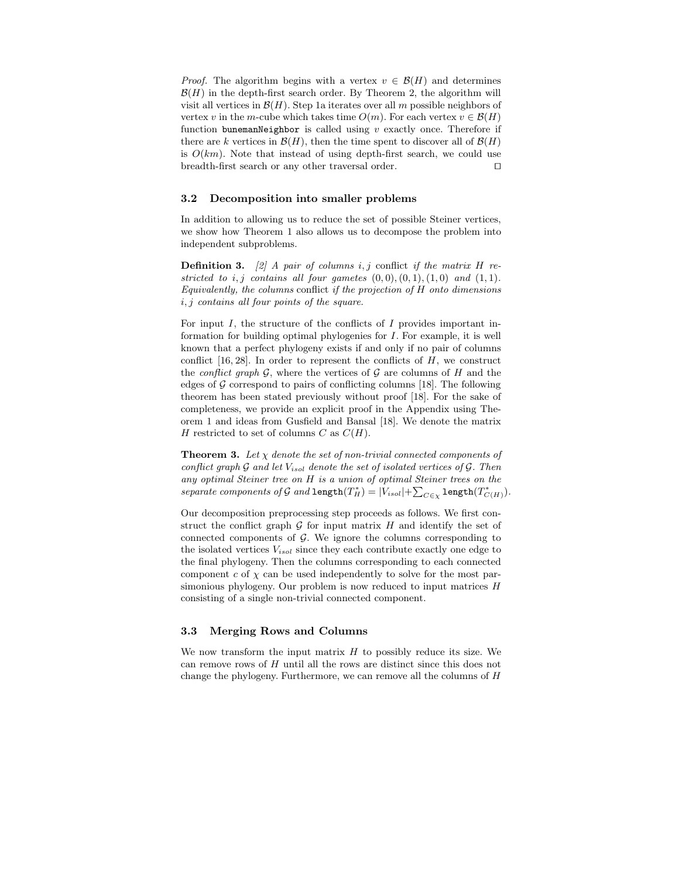*Proof.* The algorithm begins with a vertex  $v \in \mathcal{B}(H)$  and determines  $\mathcal{B}(H)$  in the depth-first search order. By Theorem 2, the algorithm will visit all vertices in  $\mathcal{B}(H)$ . Step 1a iterates over all m possible neighbors of vertex v in the m-cube which takes time  $O(m)$ . For each vertex  $v \in \mathcal{B}(H)$ function bunemanNeighbor is called using  $v$  exactly once. Therefore if there are k vertices in  $\mathcal{B}(H)$ , then the time spent to discover all of  $\mathcal{B}(H)$ is  $O(km)$ . Note that instead of using depth-first search, we could use breadth-first search or any other traversal order.  $\square$ 

#### 3.2 Decomposition into smaller problems

In addition to allowing us to reduce the set of possible Steiner vertices, we show how Theorem 1 also allows us to decompose the problem into independent subproblems.

**Definition 3.** [2] A pair of columns i, j conflict if the matrix H restricted to i, j contains all four gametes  $(0,0), (0,1), (1,0)$  and  $(1,1)$ . Equivalently, the columns conflict if the projection of H onto dimensions i, j contains all four points of the square.

For input  $I$ , the structure of the conflicts of  $I$  provides important information for building optimal phylogenies for I. For example, it is well known that a perfect phylogeny exists if and only if no pair of columns conflict  $[16, 28]$ . In order to represent the conflicts of H, we construct the *conflict graph*  $G$ , where the vertices of  $G$  are columns of  $H$  and the edges of  $G$  correspond to pairs of conflicting columns [18]. The following theorem has been stated previously without proof [18]. For the sake of completeness, we provide an explicit proof in the Appendix using Theorem 1 and ideas from Gusfield and Bansal [18]. We denote the matrix H restricted to set of columns C as  $C(H)$ .

**Theorem 3.** Let  $\chi$  denote the set of non-trivial connected components of conflict graph  $\mathcal G$  and let  $V_{isol}$  denote the set of isolated vertices of  $\mathcal G$ . Then any optimal Steiner tree on H is a union of optimal Steiner trees on the separate components of G and  $\texttt{length}(T^*_H) = |V_{isol}| + \sum_{C \in \chi} \texttt{length}(T^*_{C(H)}).$ 

Our decomposition preprocessing step proceeds as follows. We first construct the conflict graph  $G$  for input matrix  $H$  and identify the set of connected components of  $G$ . We ignore the columns corresponding to the isolated vertices  $V_{isol}$  since they each contribute exactly one edge to the final phylogeny. Then the columns corresponding to each connected component  $c$  of  $\chi$  can be used independently to solve for the most parsimonious phylogeny. Our problem is now reduced to input matrices H consisting of a single non-trivial connected component.

#### 3.3 Merging Rows and Columns

We now transform the input matrix  $H$  to possibly reduce its size. We can remove rows of H until all the rows are distinct since this does not change the phylogeny. Furthermore, we can remove all the columns of  $H$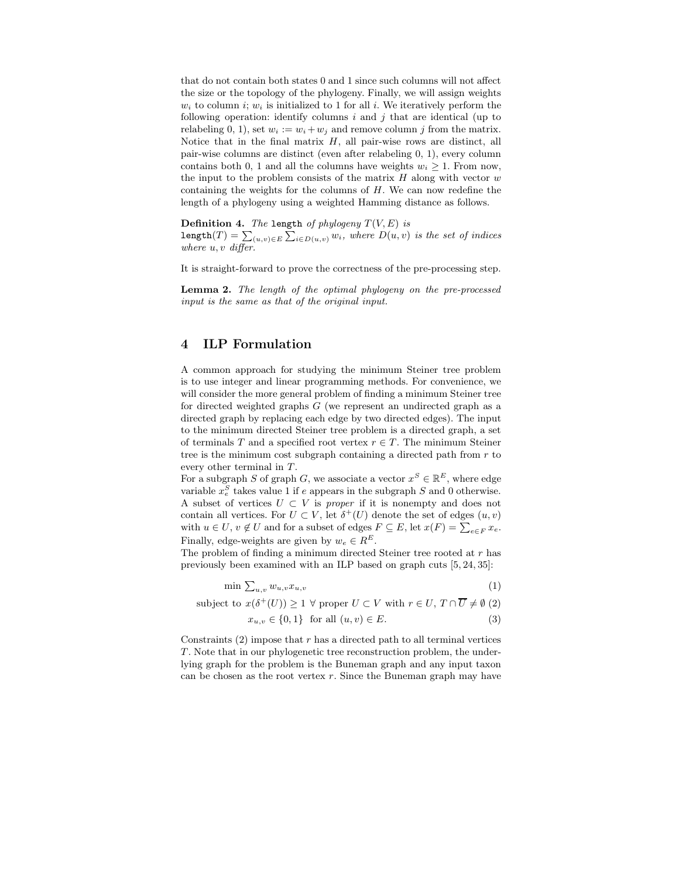that do not contain both states 0 and 1 since such columns will not affect the size or the topology of the phylogeny. Finally, we will assign weights  $w_i$  to column i;  $w_i$  is initialized to 1 for all i. We iteratively perform the following operation: identify columns  $i$  and  $j$  that are identical (up to relabeling 0, 1), set  $w_i := w_i + w_j$  and remove column j from the matrix. Notice that in the final matrix  $H$ , all pair-wise rows are distinct, all pair-wise columns are distinct (even after relabeling 0, 1), every column contains both 0, 1 and all the columns have weights  $w_i \geq 1$ . From now, the input to the problem consists of the matrix  $H$  along with vector  $w$ containing the weights for the columns of  $H$ . We can now redefine the length of a phylogeny using a weighted Hamming distance as follows.

**Definition 4.** The length of phylogeny  $T(V, E)$  is

 $\texttt{length}(T) = \sum_{(u,v) \in E} \sum_{i \in D(u,v)} w_i, \text{ where } D(u,v) \text{ is the set of indices}$ where  $u, v$  differ.

It is straight-forward to prove the correctness of the pre-processing step.

Lemma 2. The length of the optimal phylogeny on the pre-processed input is the same as that of the original input.

# 4 ILP Formulation

A common approach for studying the minimum Steiner tree problem is to use integer and linear programming methods. For convenience, we will consider the more general problem of finding a minimum Steiner tree for directed weighted graphs  $G$  (we represent an undirected graph as a directed graph by replacing each edge by two directed edges). The input to the minimum directed Steiner tree problem is a directed graph, a set of terminals T and a specified root vertex  $r \in T$ . The minimum Steiner tree is the minimum cost subgraph containing a directed path from  $r$  to every other terminal in T.

For a subgraph S of graph G, we associate a vector  $x^S \in \mathbb{R}^E$ , where edge variable  $x_e^S$  takes value 1 if e appears in the subgraph S and 0 otherwise. A subset of vertices  $U \subset V$  is *proper* if it is nonempty and does not contain all vertices. For  $U \subset V$ , let  $\delta^+(U)$  denote the set of edges  $(u, v)$ with  $u \in U$ ,  $v \notin U$  and for a subset of edges  $F \subseteq E$ , let  $x(F) = \sum_{e \in F} x_e$ . Finally, edge-weights are given by  $w_e \in R^E$ .

The problem of finding a minimum directed Steiner tree rooted at r has previously been examined with an ILP based on graph cuts [5, 24, 35]:

$$
\min \sum_{u,v} w_{u,v} x_{u,v} \tag{1}
$$

subject to  $x(\delta^+(U)) \geq 1 \ \forall$  proper  $U \subset V$  with  $r \in U$ ,  $T \cap \overline{U} \neq \emptyset$  (2)

$$
x_{u,v} \in \{0,1\} \quad \text{for all } (u,v) \in E. \tag{3}
$$

Constraints  $(2)$  impose that r has a directed path to all terminal vertices T. Note that in our phylogenetic tree reconstruction problem, the underlying graph for the problem is the Buneman graph and any input taxon can be chosen as the root vertex  $r$ . Since the Buneman graph may have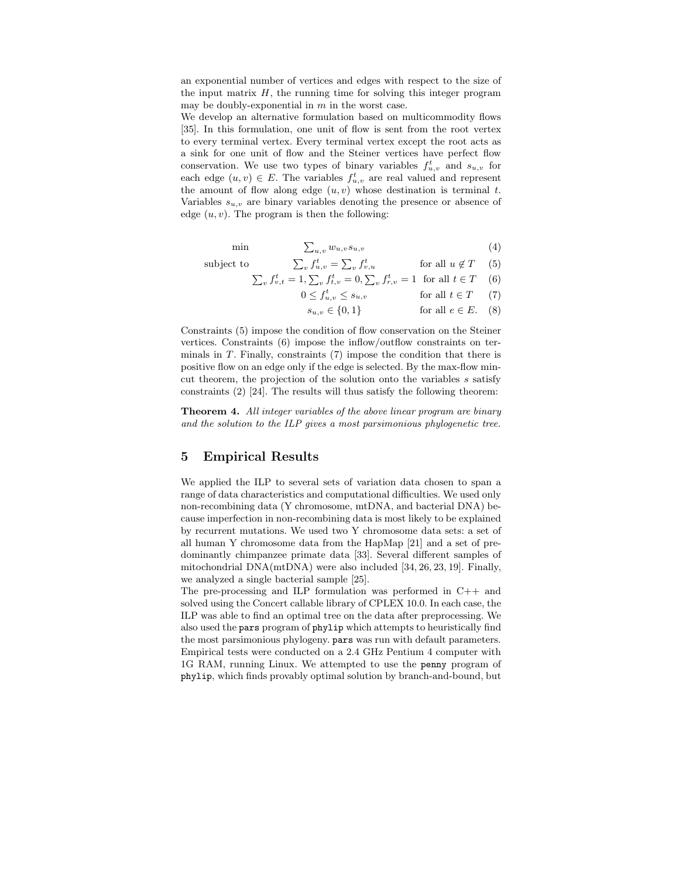an exponential number of vertices and edges with respect to the size of the input matrix  $H$ , the running time for solving this integer program may be doubly-exponential in  $m$  in the worst case.

We develop an alternative formulation based on multicommodity flows [35]. In this formulation, one unit of flow is sent from the root vertex to every terminal vertex. Every terminal vertex except the root acts as a sink for one unit of flow and the Steiner vertices have perfect flow conservation. We use two types of binary variables  $f_{u,v}^t$  and  $s_{u,v}$  for each edge  $(u, v) \in E$ . The variables  $f_{u,v}^t$  are real valued and represent the amount of flow along edge  $(u, v)$  whose destination is terminal t. Variables  $s_{u,v}$  are binary variables denoting the presence or absence of edge  $(u, v)$ . The program is then the following:

$$
\min \qquad \qquad \sum_{u,v} w_{u,v} s_{u,v} \tag{4}
$$

subject to 
$$
\sum_{v} f_{u,v}^{t} = \sum_{v} f_{v,u}^{t} \qquad \text{for all } u \notin T \quad (5)
$$

$$
\sum_{v} f_{v,t}^{t} = 1, \sum_{v} f_{t,v}^{t} = 0, \sum_{v} f_{r,v}^{t} = 1 \text{ for all } t \in T \quad (6)
$$

$$
0 \le f_{u,v}^t \le s_{u,v} \qquad \text{for all } t \in T \quad (7)
$$

$$
s_{u,v} \in \{0,1\} \qquad \text{for all } e \in E. \quad (8)
$$

Constraints (5) impose the condition of flow conservation on the Steiner vertices. Constraints (6) impose the inflow/outflow constraints on terminals in  $T$ . Finally, constraints  $(7)$  impose the condition that there is positive flow on an edge only if the edge is selected. By the max-flow mincut theorem, the projection of the solution onto the variables s satisfy constraints (2) [24]. The results will thus satisfy the following theorem:

Theorem 4. All integer variables of the above linear program are binary and the solution to the ILP gives a most parsimonious phylogenetic tree.

# 5 Empirical Results

We applied the ILP to several sets of variation data chosen to span a range of data characteristics and computational difficulties. We used only non-recombining data (Y chromosome, mtDNA, and bacterial DNA) because imperfection in non-recombining data is most likely to be explained by recurrent mutations. We used two Y chromosome data sets: a set of all human Y chromosome data from the HapMap [21] and a set of predominantly chimpanzee primate data [33]. Several different samples of mitochondrial DNA(mtDNA) were also included [34, 26, 23, 19]. Finally, we analyzed a single bacterial sample [25].

The pre-processing and ILP formulation was performed in C++ and solved using the Concert callable library of CPLEX 10.0. In each case, the ILP was able to find an optimal tree on the data after preprocessing. We also used the pars program of phylip which attempts to heuristically find the most parsimonious phylogeny. pars was run with default parameters. Empirical tests were conducted on a 2.4 GHz Pentium 4 computer with 1G RAM, running Linux. We attempted to use the penny program of phylip, which finds provably optimal solution by branch-and-bound, but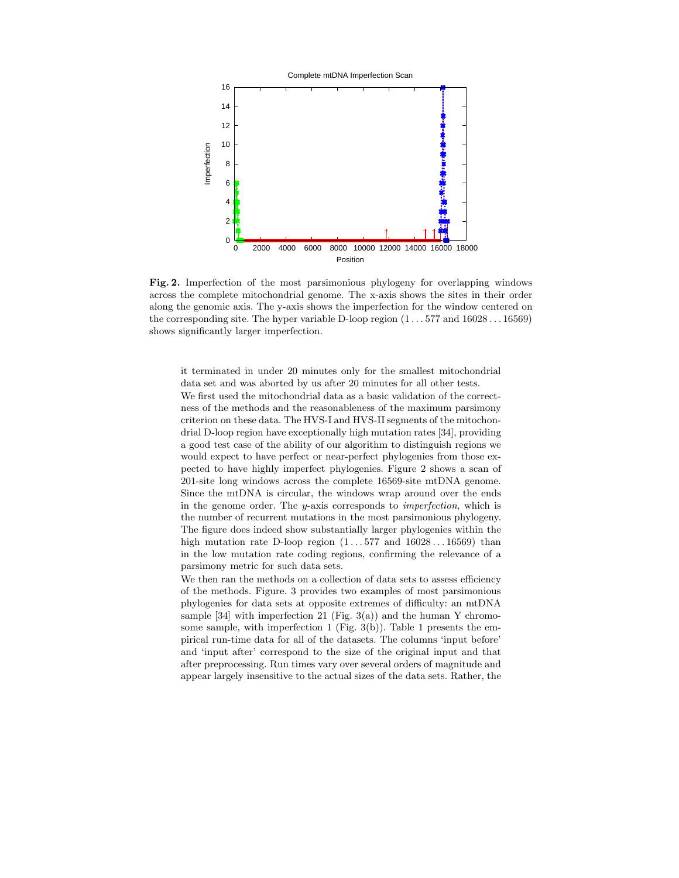

Fig. 2. Imperfection of the most parsimonious phylogeny for overlapping windows across the complete mitochondrial genome. The x-axis shows the sites in their order along the genomic axis. The y-axis shows the imperfection for the window centered on the corresponding site. The hyper variable D-loop region (1 . . . 577 and 16028 . . . 16569) shows significantly larger imperfection.

it terminated in under 20 minutes only for the smallest mitochondrial data set and was aborted by us after 20 minutes for all other tests.

We first used the mitochondrial data as a basic validation of the correctness of the methods and the reasonableness of the maximum parsimony criterion on these data. The HVS-I and HVS-II segments of the mitochondrial D-loop region have exceptionally high mutation rates [34], providing a good test case of the ability of our algorithm to distinguish regions we would expect to have perfect or near-perfect phylogenies from those expected to have highly imperfect phylogenies. Figure 2 shows a scan of 201-site long windows across the complete 16569-site mtDNA genome. Since the mtDNA is circular, the windows wrap around over the ends in the genome order. The y-axis corresponds to imperfection, which is the number of recurrent mutations in the most parsimonious phylogeny. The figure does indeed show substantially larger phylogenies within the high mutation rate D-loop region  $(1 \dots 577$  and  $16028 \dots 16569)$  than in the low mutation rate coding regions, confirming the relevance of a parsimony metric for such data sets.

We then ran the methods on a collection of data sets to assess efficiency of the methods. Figure. 3 provides two examples of most parsimonious phylogenies for data sets at opposite extremes of difficulty: an mtDNA sample [34] with imperfection 21 (Fig. 3(a)) and the human Y chromosome sample, with imperfection 1 (Fig. 3(b)). Table 1 presents the empirical run-time data for all of the datasets. The columns 'input before' and 'input after' correspond to the size of the original input and that after preprocessing. Run times vary over several orders of magnitude and appear largely insensitive to the actual sizes of the data sets. Rather, the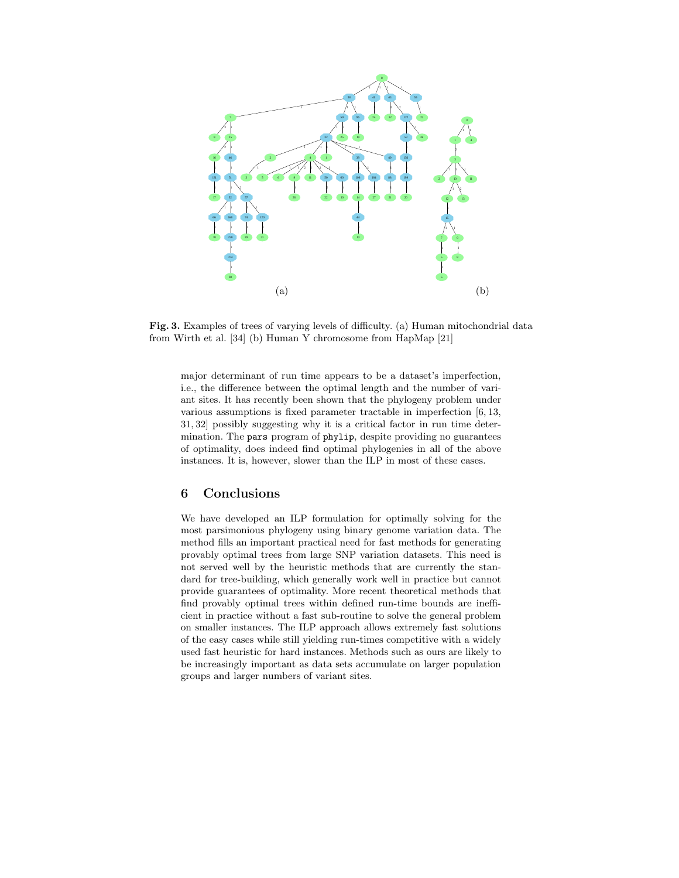

Fig. 3. Examples of trees of varying levels of difficulty. (a) Human mitochondrial data from Wirth et al. [34] (b) Human Y chromosome from HapMap [21]

major determinant of run time appears to be a dataset's imperfection, i.e., the difference between the optimal length and the number of variant sites. It has recently been shown that the phylogeny problem under various assumptions is fixed parameter tractable in imperfection [6, 13, 31, 32] possibly suggesting why it is a critical factor in run time determination. The pars program of phylip, despite providing no guarantees of optimality, does indeed find optimal phylogenies in all of the above instances. It is, however, slower than the ILP in most of these cases.

# Conclusions

We have developed an ILP formulation for optimally solving for the most parsimonious phylogeny using binary genome variation data. The method fills an important practical need for fast methods for generating provably optimal trees from large SNP variation datasets. This need is not served well by the heuristic methods that are currently the standard for tree-building, which generally work well in practice but cannot provide guarantees of optimality. More recent theoretical methods that find provably optimal trees within defined run-time bounds are inefficient in practice without a fast sub-routine to solve the general problem on smaller instances. The ILP approach allows extremely fast solutions of the easy cases while still yielding run-times competitive with a widely used fast heuristic for hard instances. Methods such as ours are likely to be increasingly important as data sets accumulate on larger population groups and larger numbers of variant sites.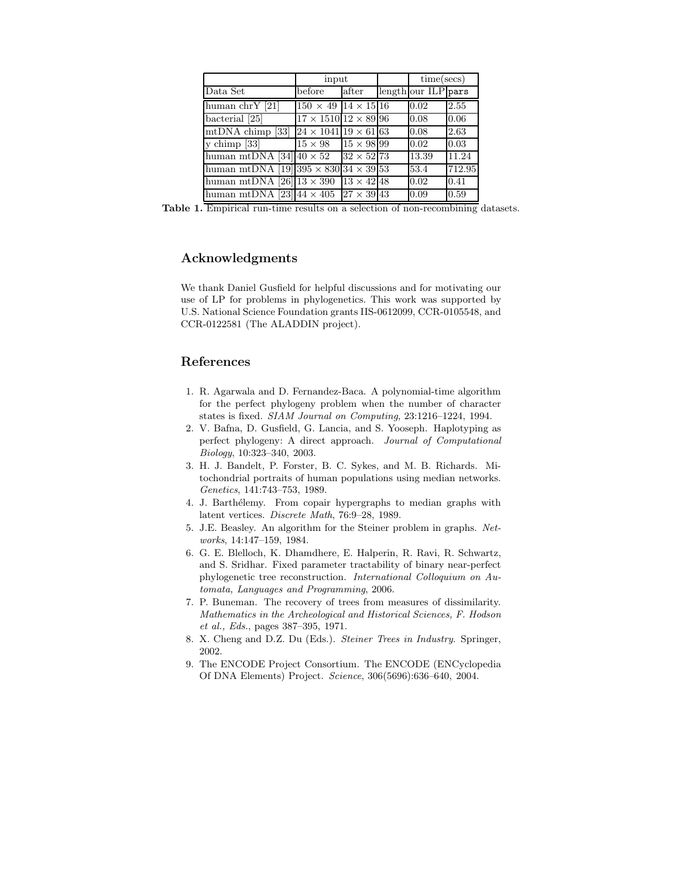|                                                            | input                              |                   | time(secs)          |        |
|------------------------------------------------------------|------------------------------------|-------------------|---------------------|--------|
| Data Set                                                   | before                             | after             | length our ILP pars |        |
| human $chrY$ [21]                                          | $150 \times 49$  14 $\times$ 15 16 |                   | 0.02                | 2.55   |
| bacterial [25]                                             | $17 \times 1510$ $12 \times 89$ 96 |                   | 0.08                | 0.06   |
| mtDNA chimp [33] $\sqrt{24 \times 1041}$ 19 $\times$ 61 63 |                                    |                   | 0.08                | 2.63   |
| y chimp [33]                                               | $15 \times 98$                     | $15 \times 98$ 99 | 0.02                | 0.03   |
| human mtDNA [34] $40 \times 52$                            |                                    | $32 \times 52$ 73 | 13.39               | 11.24  |
| human mtDNA [19] $395 \times 830$ 34 $\times$ 39 53        |                                    |                   | 53.4                | 712.95 |
| human mtDNA [26] $13 \times 390$                           |                                    | $13 \times 42$ 48 | 0.02                | 0.41   |
| human mtDNA [23] $ 44 \times 405 $ [27 $\times 39 43$      |                                    |                   | 0.09                | 0.59   |

Table 1. Empirical run-time results on a selection of non-recombining datasets.

# Acknowledgments

We thank Daniel Gusfield for helpful discussions and for motivating our use of LP for problems in phylogenetics. This work was supported by U.S. National Science Foundation grants IIS-0612099, CCR-0105548, and CCR-0122581 (The ALADDIN project).

# References

- 1. R. Agarwala and D. Fernandez-Baca. A polynomial-time algorithm for the perfect phylogeny problem when the number of character states is fixed. SIAM Journal on Computing, 23:1216–1224, 1994.
- 2. V. Bafna, D. Gusfield, G. Lancia, and S. Yooseph. Haplotyping as perfect phylogeny: A direct approach. Journal of Computational Biology, 10:323–340, 2003.
- 3. H. J. Bandelt, P. Forster, B. C. Sykes, and M. B. Richards. Mitochondrial portraits of human populations using median networks. Genetics, 141:743–753, 1989.
- 4. J. Barthélemy. From copair hypergraphs to median graphs with latent vertices. Discrete Math, 76:9–28, 1989.
- 5. J.E. Beasley. An algorithm for the Steiner problem in graphs. Networks, 14:147–159, 1984.
- 6. G. E. Blelloch, K. Dhamdhere, E. Halperin, R. Ravi, R. Schwartz, and S. Sridhar. Fixed parameter tractability of binary near-perfect phylogenetic tree reconstruction. International Colloquium on Automata, Languages and Programming, 2006.
- 7. P. Buneman. The recovery of trees from measures of dissimilarity. Mathematics in the Archeological and Historical Sciences, F. Hodson et al., Eds., pages 387–395, 1971.
- 8. X. Cheng and D.Z. Du (Eds.). Steiner Trees in Industry. Springer, 2002.
- 9. The ENCODE Project Consortium. The ENCODE (ENCyclopedia Of DNA Elements) Project. Science, 306(5696):636–640, 2004.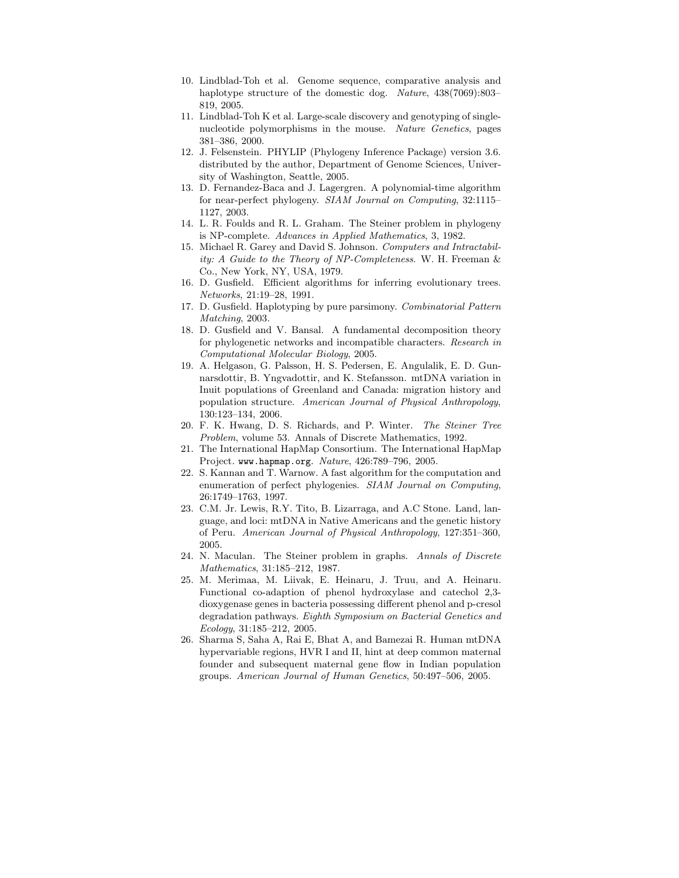- 10. Lindblad-Toh et al. Genome sequence, comparative analysis and haplotype structure of the domestic dog. Nature,  $438(7069):803-$ 819, 2005.
- 11. Lindblad-Toh K et al. Large-scale discovery and genotyping of singlenucleotide polymorphisms in the mouse. Nature Genetics, pages 381–386, 2000.
- 12. J. Felsenstein. PHYLIP (Phylogeny Inference Package) version 3.6. distributed by the author, Department of Genome Sciences, University of Washington, Seattle, 2005.
- 13. D. Fernandez-Baca and J. Lagergren. A polynomial-time algorithm for near-perfect phylogeny. SIAM Journal on Computing, 32:1115– 1127, 2003.
- 14. L. R. Foulds and R. L. Graham. The Steiner problem in phylogeny is NP-complete. Advances in Applied Mathematics, 3, 1982.
- 15. Michael R. Garey and David S. Johnson. Computers and Intractability: A Guide to the Theory of NP-Completeness. W. H. Freeman & Co., New York, NY, USA, 1979.
- 16. D. Gusfield. Efficient algorithms for inferring evolutionary trees. Networks, 21:19–28, 1991.
- 17. D. Gusfield. Haplotyping by pure parsimony. Combinatorial Pattern Matching, 2003.
- 18. D. Gusfield and V. Bansal. A fundamental decomposition theory for phylogenetic networks and incompatible characters. Research in Computational Molecular Biology, 2005.
- 19. A. Helgason, G. Palsson, H. S. Pedersen, E. Angulalik, E. D. Gunnarsdottir, B. Yngvadottir, and K. Stefansson. mtDNA variation in Inuit populations of Greenland and Canada: migration history and population structure. American Journal of Physical Anthropology, 130:123–134, 2006.
- 20. F. K. Hwang, D. S. Richards, and P. Winter. The Steiner Tree Problem, volume 53. Annals of Discrete Mathematics, 1992.
- 21. The International HapMap Consortium. The International HapMap Project. www.hapmap.org. Nature, 426:789–796, 2005.
- 22. S. Kannan and T. Warnow. A fast algorithm for the computation and enumeration of perfect phylogenies. SIAM Journal on Computing, 26:1749–1763, 1997.
- 23. C.M. Jr. Lewis, R.Y. Tito, B. Lizarraga, and A.C Stone. Land, language, and loci: mtDNA in Native Americans and the genetic history of Peru. American Journal of Physical Anthropology, 127:351–360, 2005.
- 24. N. Maculan. The Steiner problem in graphs. Annals of Discrete Mathematics, 31:185–212, 1987.
- 25. M. Merimaa, M. Liivak, E. Heinaru, J. Truu, and A. Heinaru. Functional co-adaption of phenol hydroxylase and catechol 2,3 dioxygenase genes in bacteria possessing different phenol and p-cresol degradation pathways. Eighth Symposium on Bacterial Genetics and Ecology, 31:185–212, 2005.
- 26. Sharma S, Saha A, Rai E, Bhat A, and Bamezai R. Human mtDNA hypervariable regions, HVR I and II, hint at deep common maternal founder and subsequent maternal gene flow in Indian population groups. American Journal of Human Genetics, 50:497–506, 2005.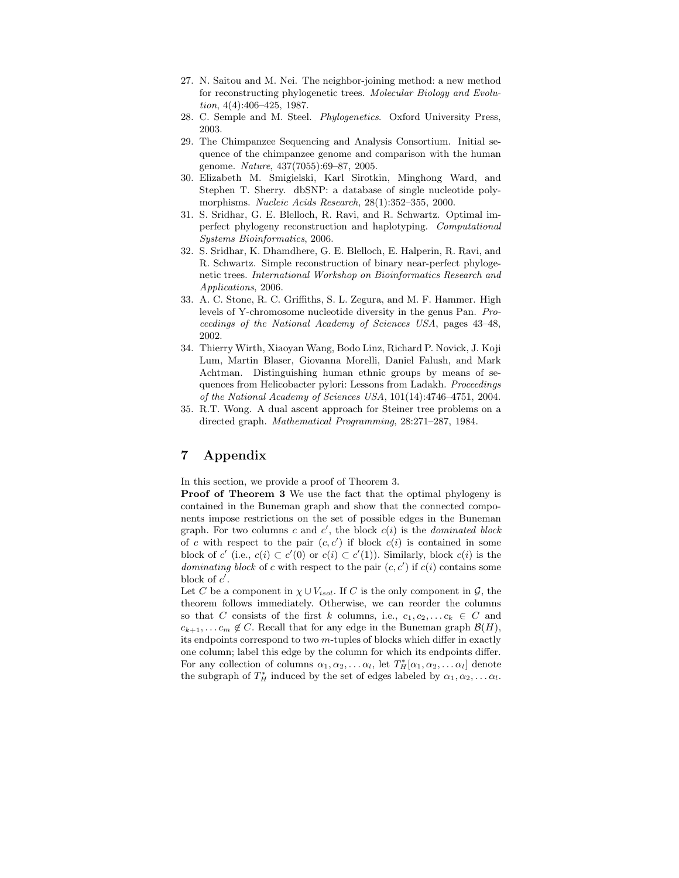- 27. N. Saitou and M. Nei. The neighbor-joining method: a new method for reconstructing phylogenetic trees. Molecular Biology and Evolution, 4(4):406–425, 1987.
- 28. C. Semple and M. Steel. Phylogenetics. Oxford University Press, 2003.
- 29. The Chimpanzee Sequencing and Analysis Consortium. Initial sequence of the chimpanzee genome and comparison with the human genome. Nature, 437(7055):69–87, 2005.
- 30. Elizabeth M. Smigielski, Karl Sirotkin, Minghong Ward, and Stephen T. Sherry. dbSNP: a database of single nucleotide polymorphisms. Nucleic Acids Research, 28(1):352–355, 2000.
- 31. S. Sridhar, G. E. Blelloch, R. Ravi, and R. Schwartz. Optimal imperfect phylogeny reconstruction and haplotyping. Computational Systems Bioinformatics, 2006.
- 32. S. Sridhar, K. Dhamdhere, G. E. Blelloch, E. Halperin, R. Ravi, and R. Schwartz. Simple reconstruction of binary near-perfect phylogenetic trees. International Workshop on Bioinformatics Research and Applications, 2006.
- 33. A. C. Stone, R. C. Griffiths, S. L. Zegura, and M. F. Hammer. High levels of Y-chromosome nucleotide diversity in the genus Pan. Proceedings of the National Academy of Sciences USA, pages 43–48, 2002.
- 34. Thierry Wirth, Xiaoyan Wang, Bodo Linz, Richard P. Novick, J. Koji Lum, Martin Blaser, Giovanna Morelli, Daniel Falush, and Mark Achtman. Distinguishing human ethnic groups by means of sequences from Helicobacter pylori: Lessons from Ladakh. Proceedings of the National Academy of Sciences USA, 101(14):4746–4751, 2004.
- 35. R.T. Wong. A dual ascent approach for Steiner tree problems on a directed graph. Mathematical Programming, 28:271–287, 1984.

# 7 Appendix

In this section, we provide a proof of Theorem 3.

Proof of Theorem 3 We use the fact that the optimal phylogeny is contained in the Buneman graph and show that the connected components impose restrictions on the set of possible edges in the Buneman graph. For two columns c and  $c'$ , the block  $c(i)$  is the *dominated block* of c with respect to the pair  $(c, c')$  if block  $c(i)$  is contained in some block of c' (i.e.,  $c(i) \subset c'(0)$  or  $c(i) \subset c'(1)$ ). Similarly, block  $c(i)$  is the dominating block of c with respect to the pair  $(c, c')$  if  $c(i)$  contains some block of  $c'$ .

Let C be a component in  $\chi \cup V_{isol}$ . If C is the only component in G, the theorem follows immediately. Otherwise, we can reorder the columns so that C consists of the first k columns, i.e.,  $c_1, c_2, \ldots c_k \in C$  and  $c_{k+1}, \ldots c_m \notin C$ . Recall that for any edge in the Buneman graph  $\mathcal{B}(H)$ , its endpoints correspond to two  $m$ -tuples of blocks which differ in exactly one column; label this edge by the column for which its endpoints differ. For any collection of columns  $\alpha_1, \alpha_2, \ldots, \alpha_l$ , let  $T^*_H[\alpha_1, \alpha_2, \ldots, \alpha_l]$  denote the subgraph of  $T_H^*$  induced by the set of edges labeled by  $\alpha_1, \alpha_2, \dots \alpha_l$ .